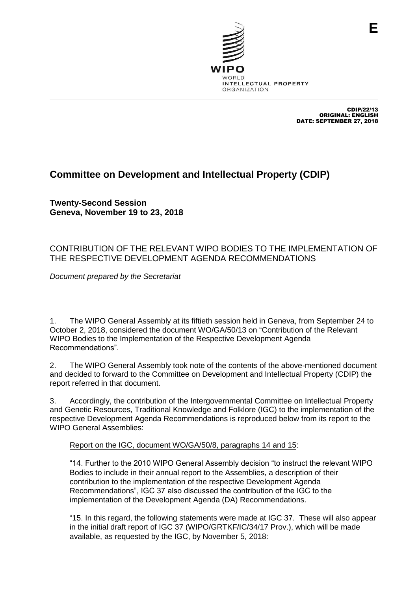

CDIP/22/13 ORIGINAL: ENGLISH DATE: SEPTEMBER 27, 2018

## **Committee on Development and Intellectual Property (CDIP)**

**Twenty-Second Session Geneva, November 19 to 23, 2018**

## CONTRIBUTION OF THE RELEVANT WIPO BODIES TO THE IMPLEMENTATION OF THE RESPECTIVE DEVELOPMENT AGENDA RECOMMENDATIONS

*Document prepared by the Secretariat*

1. The WIPO General Assembly at its fiftieth session held in Geneva, from September 24 to October 2, 2018, considered the document WO/GA/50/13 on "Contribution of the Relevant WIPO Bodies to the Implementation of the Respective Development Agenda Recommendations".

2. The WIPO General Assembly took note of the contents of the above-mentioned document and decided to forward to the Committee on Development and Intellectual Property (CDIP) the report referred in that document.

3. Accordingly, the contribution of the Intergovernmental Committee on Intellectual Property and Genetic Resources, Traditional Knowledge and Folklore (IGC) to the implementation of the respective Development Agenda Recommendations is reproduced below from its report to the WIPO General Assemblies:

## Report on the IGC, document WO/GA/50/8, paragraphs 14 and 15:

"14. Further to the 2010 WIPO General Assembly decision "to instruct the relevant WIPO Bodies to include in their annual report to the Assemblies, a description of their contribution to the implementation of the respective Development Agenda Recommendations", IGC 37 also discussed the contribution of the IGC to the implementation of the Development Agenda (DA) Recommendations.

"15. In this regard, the following statements were made at IGC 37. These will also appear in the initial draft report of IGC 37 (WIPO/GRTKF/IC/34/17 Prov.), which will be made available, as requested by the IGC, by November 5, 2018: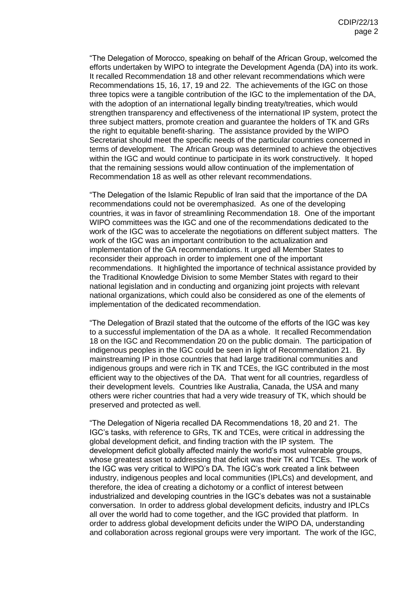"The Delegation of Morocco, speaking on behalf of the African Group, welcomed the efforts undertaken by WIPO to integrate the Development Agenda (DA) into its work. It recalled Recommendation 18 and other relevant recommendations which were Recommendations 15, 16, 17, 19 and 22. The achievements of the IGC on those three topics were a tangible contribution of the IGC to the implementation of the DA, with the adoption of an international legally binding treaty/treaties, which would strengthen transparency and effectiveness of the international IP system, protect the three subject matters, promote creation and guarantee the holders of TK and GRs the right to equitable benefit-sharing. The assistance provided by the WIPO Secretariat should meet the specific needs of the particular countries concerned in terms of development. The African Group was determined to achieve the objectives within the IGC and would continue to participate in its work constructively. It hoped that the remaining sessions would allow continuation of the implementation of Recommendation 18 as well as other relevant recommendations.

"The Delegation of the Islamic Republic of Iran said that the importance of the DA recommendations could not be overemphasized. As one of the developing countries, it was in favor of streamlining Recommendation 18. One of the important WIPO committees was the IGC and one of the recommendations dedicated to the work of the IGC was to accelerate the negotiations on different subject matters. The work of the IGC was an important contribution to the actualization and implementation of the GA recommendations. It urged all Member States to reconsider their approach in order to implement one of the important recommendations. It highlighted the importance of technical assistance provided by the Traditional Knowledge Division to some Member States with regard to their national legislation and in conducting and organizing joint projects with relevant national organizations, which could also be considered as one of the elements of implementation of the dedicated recommendation.

"The Delegation of Brazil stated that the outcome of the efforts of the IGC was key to a successful implementation of the DA as a whole. It recalled Recommendation 18 on the IGC and Recommendation 20 on the public domain. The participation of indigenous peoples in the IGC could be seen in light of Recommendation 21. By mainstreaming IP in those countries that had large traditional communities and indigenous groups and were rich in TK and TCEs, the IGC contributed in the most efficient way to the objectives of the DA. That went for all countries, regardless of their development levels. Countries like Australia, Canada, the USA and many others were richer countries that had a very wide treasury of TK, which should be preserved and protected as well.

"The Delegation of Nigeria recalled DA Recommendations 18, 20 and 21. The IGC's tasks, with reference to GRs, TK and TCEs, were critical in addressing the global development deficit, and finding traction with the IP system. The development deficit globally affected mainly the world's most vulnerable groups, whose greatest asset to addressing that deficit was their TK and TCEs. The work of the IGC was very critical to WIPO's DA. The IGC's work created a link between industry, indigenous peoples and local communities (IPLCs) and development, and therefore, the idea of creating a dichotomy or a conflict of interest between industrialized and developing countries in the IGC's debates was not a sustainable conversation. In order to address global development deficits, industry and IPLCs all over the world had to come together, and the IGC provided that platform. In order to address global development deficits under the WIPO DA, understanding and collaboration across regional groups were very important. The work of the IGC,